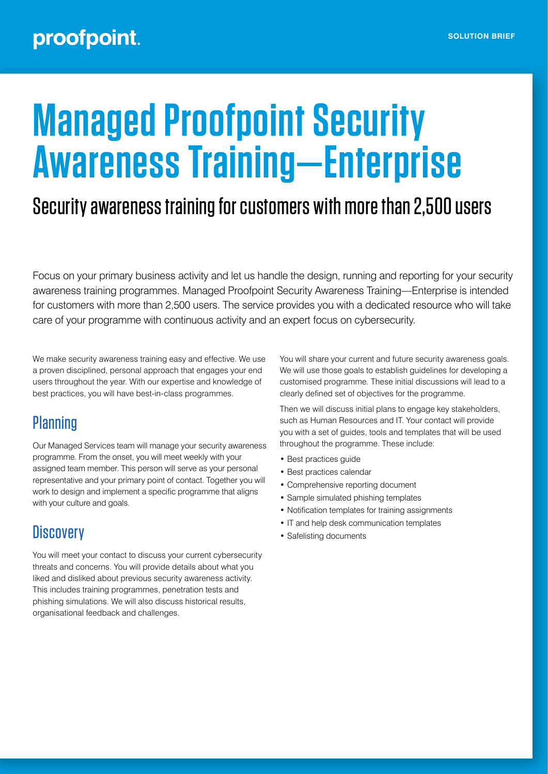# **Managed Proofpoint Security Awareness Training—Enterprise**

# Security awareness training for customers with more than 2,500 users

Focus on your primary business activity and let us handle the design, running and reporting for your security awareness training programmes. Managed Proofpoint Security Awareness Training—Enterprise is intended for customers with more than 2,500 users. The service provides you with a dedicated resource who will take care of your programme with continuous activity and an expert focus on cybersecurity.

We make security awareness training easy and effective. We use a proven disciplined, personal approach that engages your end users throughout the year. With our expertise and knowledge of best practices, you will have best-in-class programmes.

# **Planning**

Our Managed Services team will manage your security awareness programme. From the onset, you will meet weekly with your assigned team member. This person will serve as your personal representative and your primary point of contact. Together you will work to design and implement a specific programme that aligns with your culture and goals.

# **Discovery**

You will meet your contact to discuss your current cybersecurity threats and concerns. You will provide details about what you liked and disliked about previous security awareness activity. This includes training programmes, penetration tests and phishing simulations. We will also discuss historical results, organisational feedback and challenges.

You will share your current and future security awareness goals. We will use those goals to establish guidelines for developing a customised programme. These initial discussions will lead to a clearly defined set of objectives for the programme.

Then we will discuss initial plans to engage key stakeholders, such as Human Resources and IT. Your contact will provide you with a set of guides, tools and templates that will be used throughout the programme. These include:

- Best practices guide
- Best practices calendar
- Comprehensive reporting document
- Sample simulated phishing templates
- Notification templates for training assignments
- IT and help desk communication templates
- Safelisting documents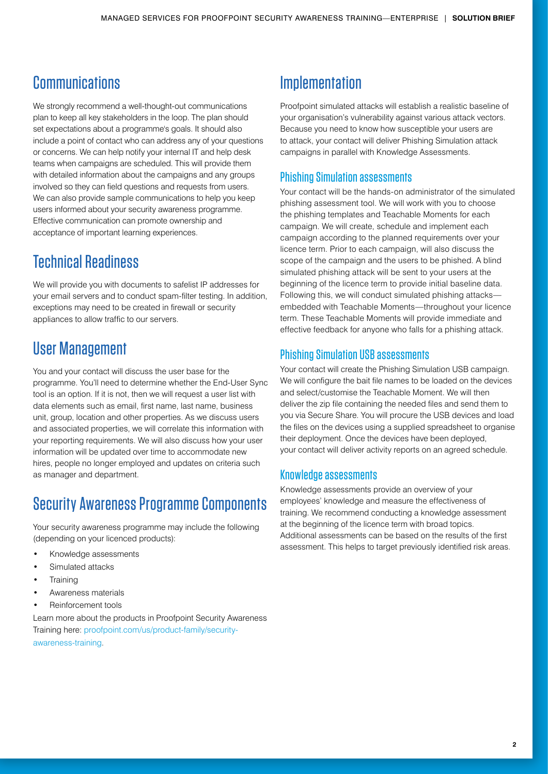# **Communications**

We strongly recommend a well-thought-out communications plan to keep all key stakeholders in the loop. The plan should set expectations about a programme's goals. It should also include a point of contact who can address any of your questions or concerns. We can help notify your internal IT and help desk teams when campaigns are scheduled. This will provide them with detailed information about the campaigns and any groups involved so they can field questions and requests from users. We can also provide sample communications to help you keep users informed about your security awareness programme. Effective communication can promote ownership and acceptance of important learning experiences.

## Technical Readiness

We will provide you with documents to safelist IP addresses for your email servers and to conduct spam-filter testing. In addition, exceptions may need to be created in firewall or security appliances to allow traffic to our servers.

## User Management

You and your contact will discuss the user base for the programme. You'll need to determine whether the End-User Sync tool is an option. If it is not, then we will request a user list with data elements such as email, first name, last name, business unit, group, location and other properties. As we discuss users and associated properties, we will correlate this information with your reporting requirements. We will also discuss how your user information will be updated over time to accommodate new hires, people no longer employed and updates on criteria such as manager and department.

## Security Awareness Programme Components

Your security awareness programme may include the following (depending on your licenced products):

- Knowledge assessments
- Simulated attacks
- **Training**
- Awareness materials
- Reinforcement tools

Learn more about the products in Proofpoint Security Awareness Training here: [proofpoint.com/us/product-family/security](http://proofpoint.com/us/product-family/security-awareness-training)[awareness-training.](http://proofpoint.com/us/product-family/security-awareness-training)

## **Implementation**

Proofpoint simulated attacks will establish a realistic baseline of your organisation's vulnerability against various attack vectors. Because you need to know how susceptible your users are to attack, your contact will deliver Phishing Simulation attack campaigns in parallel with Knowledge Assessments.

#### Phishing Simulation assessments

Your contact will be the hands-on administrator of the simulated phishing assessment tool. We will work with you to choose the phishing templates and Teachable Moments for each campaign. We will create, schedule and implement each campaign according to the planned requirements over your licence term. Prior to each campaign, will also discuss the scope of the campaign and the users to be phished. A blind simulated phishing attack will be sent to your users at the beginning of the licence term to provide initial baseline data. Following this, we will conduct simulated phishing attacks embedded with Teachable Moments—throughout your licence term. These Teachable Moments will provide immediate and effective feedback for anyone who falls for a phishing attack.

#### Phishing Simulation USB assessments

Your contact will create the Phishing Simulation USB campaign. We will configure the bait file names to be loaded on the devices and select/customise the Teachable Moment. We will then deliver the zip file containing the needed files and send them to you via Secure Share. You will procure the USB devices and load the files on the devices using a supplied spreadsheet to organise their deployment. Once the devices have been deployed, your contact will deliver activity reports on an agreed schedule.

#### Knowledge assessments

Knowledge assessments provide an overview of your employees' knowledge and measure the effectiveness of training. We recommend conducting a knowledge assessment at the beginning of the licence term with broad topics. Additional assessments can be based on the results of the first assessment. This helps to target previously identified risk areas.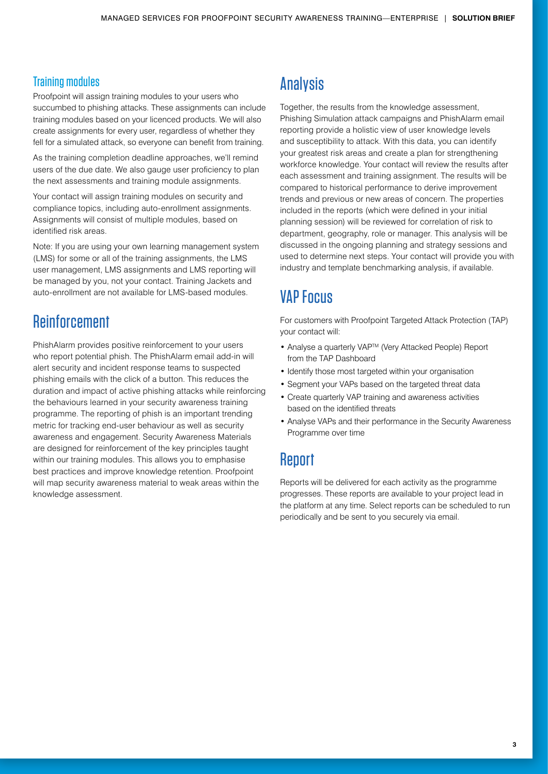#### Training modules

Proofpoint will assign training modules to your users who succumbed to phishing attacks. These assignments can include training modules based on your licenced products. We will also create assignments for every user, regardless of whether they fell for a simulated attack, so everyone can benefit from training.

As the training completion deadline approaches, we'll remind users of the due date. We also gauge user proficiency to plan the next assessments and training module assignments.

Your contact will assign training modules on security and compliance topics, including auto-enrollment assignments. Assignments will consist of multiple modules, based on identified risk areas.

Note: If you are using your own learning management system (LMS) for some or all of the training assignments, the LMS user management, LMS assignments and LMS reporting will be managed by you, not your contact. Training Jackets and auto-enrollment are not available for LMS-based modules.

## **Reinforcement**

PhishAlarm provides positive reinforcement to your users who report potential phish. The PhishAlarm email add-in will alert security and incident response teams to suspected phishing emails with the click of a button. This reduces the duration and impact of active phishing attacks while reinforcing the behaviours learned in your security awareness training programme. The reporting of phish is an important trending metric for tracking end-user behaviour as well as security awareness and engagement. Security Awareness Materials are designed for reinforcement of the key principles taught within our training modules. This allows you to emphasise best practices and improve knowledge retention. Proofpoint will map security awareness material to weak areas within the knowledge assessment.

## Analysis

Together, the results from the knowledge assessment, Phishing Simulation attack campaigns and PhishAlarm email reporting provide a holistic view of user knowledge levels and susceptibility to attack. With this data, you can identify your greatest risk areas and create a plan for strengthening workforce knowledge. Your contact will review the results after each assessment and training assignment. The results will be compared to historical performance to derive improvement trends and previous or new areas of concern. The properties included in the reports (which were defined in your initial planning session) will be reviewed for correlation of risk to department, geography, role or manager. This analysis will be discussed in the ongoing planning and strategy sessions and used to determine next steps. Your contact will provide you with industry and template benchmarking analysis, if available.

## VAP Focus

For customers with Proofpoint Targeted Attack Protection (TAP) your contact will:

- Analyse a quarterly VAPTM (Very Attacked People) Report from the TAP Dashboard
- Identify those most targeted within your organisation
- Segment your VAPs based on the targeted threat data
- Create quarterly VAP training and awareness activities based on the identified threats
- Analyse VAPs and their performance in the Security Awareness Programme over time

## **Report**

Reports will be delivered for each activity as the programme progresses. These reports are available to your project lead in the platform at any time. Select reports can be scheduled to run periodically and be sent to you securely via email.